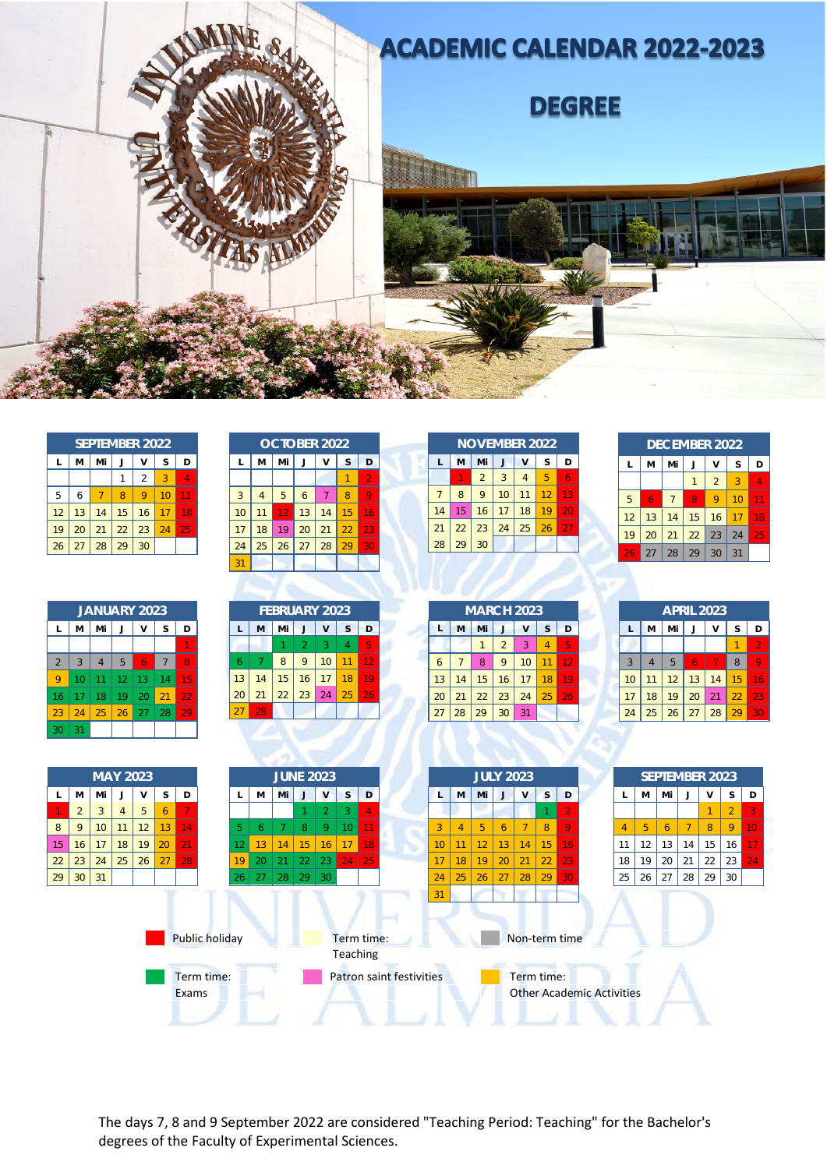

| <b>SEPTEMBER 2022</b> |    |    |    |    |    |    |
|-----------------------|----|----|----|----|----|----|
| L                     | M  | Mi |    | v  | S  | D  |
|                       |    |    |    | 2  | 3  |    |
| 5                     | 6  |    | 8  | 9  |    |    |
| 12                    | 13 | 14 | 15 | 16 |    | 18 |
| 19                    | 20 | 21 | 22 | 23 | 24 | 25 |
| 26                    | 27 | 28 | 29 | 30 |    |    |

| <b>JANUARY 2023</b> |                |                |    |    |                |    |
|---------------------|----------------|----------------|----|----|----------------|----|
| L                   | M              | Mi             | J  | v  | S              | D  |
|                     |                |                |    |    |                |    |
| $\overline{2}$      | $\overline{3}$ | $\overline{4}$ | 5  | 6  | $\overline{7}$ | 8  |
| 9                   | 10             | 11             | 12 | 13 | 14             | 15 |
| 16                  | 17             | 18             | 19 | 20 | 21             | 22 |
| 23                  | 24             | 25             | 26 | 27 | 28             | 29 |
| 30                  | 31             |                |    |    |                |    |

| <b>OCTOBER 2022</b> |                |    |    |    |    |                 |
|---------------------|----------------|----|----|----|----|-----------------|
| L                   | М              | Mi | J  | v  | S  | D               |
|                     |                |    |    |    |    | $\overline{2}$  |
| 3                   | $\overline{4}$ | 5  | 6  | 7  | 8  | 9               |
| 10                  | 11             | 12 | 13 | 14 | 15 | 16              |
| 17                  | 18             | 19 | 20 | 21 | 22 | $2\overline{3}$ |
| 24                  | 25             | 26 | 27 | 28 | 29 | 30              |
| 31                  |                |    |    |    |    |                 |

| <b>FEBRUARY 2023</b> |    |    |                |    |    |    |
|----------------------|----|----|----------------|----|----|----|
| L                    | M  | Mi |                | V  | S  | D  |
|                      |    |    | $\overline{2}$ | 3  | 4  | 5  |
| 6                    | 7  | 8  | 9              | 10 | 11 | 12 |
| 13                   | 14 | 15 | 16             | 17 | 18 |    |
| 20                   | 21 | 22 | 23             | 24 | 25 | 26 |
|                      | 28 |    |                |    |    |    |

| <b>NOVEMBER 2022</b> |    |                |    |                |    |    |
|----------------------|----|----------------|----|----------------|----|----|
|                      | M  | Mi             |    | ٧              | S  | D  |
|                      |    | $\overline{2}$ | 3  | $\overline{4}$ | 5  | 6  |
| 7                    | 8  | 9              | 10 | 11             | 12 | 13 |
| 14                   | 15 | 16             | 17 | 18             | 19 | 20 |
| 21                   | 22 | 23             | 24 | 25             | 26 | 27 |
| 28                   | 29 | 30             |    |                |    |    |
|                      |    |                |    |                |    |    |

| <b>DECEMBER 2022</b> |    |                |    |                |    |    |
|----------------------|----|----------------|----|----------------|----|----|
| L                    | м  | Mi             |    | v              | S  | D  |
|                      |    |                |    | $\overline{2}$ | 3  | Λ  |
| 5                    | 6  | $\overline{7}$ | 8  | 9              | 10 | 11 |
| 12                   | 13 | 14             | 15 | 16             | 17 | 18 |
| 19                   | 20 | 21             | 22 | 23             | 24 | 25 |
| 26                   | 27 | 28             | 29 | 30             | 31 |    |
|                      |    |                |    |                |    |    |

| <b>MARCH 2023</b> |    |    |                |    |    |    |
|-------------------|----|----|----------------|----|----|----|
| L                 | M  | Mi |                | v  | S  | D  |
|                   |    |    | $\overline{2}$ | 3  |    | 5  |
| 6                 | 7  | 8  | 9              | 10 | 11 | 12 |
| 13                | 14 | 15 | 16             | 17 | 18 | 19 |
| 20                | 21 | 22 | 23             | 24 | 25 | 26 |
| 27                | 28 | 29 | 30             | 31 |    |    |

| <b>APRIL 2023</b> |                |    |    |    |    |                |
|-------------------|----------------|----|----|----|----|----------------|
| L                 | M              | Mi | J  | v  | S  | D              |
|                   |                |    |    |    |    | $\overline{2}$ |
| 3                 | $\overline{4}$ | 5  | 6  | 7  | 8  | 9              |
| 10                | 11             | 12 | 13 | 14 | 15 | 16             |
| 17                | 18             | 19 | 20 | 21 | 22 | 23             |
| 24                | 25             | 26 | 27 | 28 | 29 | ÆU             |



The days 7, 8 and 9 September 2022 are considered "Teaching Period: Teaching" for the Bachelor's degrees of the Faculty of Experimental Sciences.